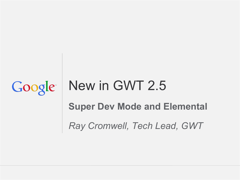# New in GWT 2.5 Google **Super Dev Mode and Elemental** *Ray Cromwell, Tech Lead, GWT*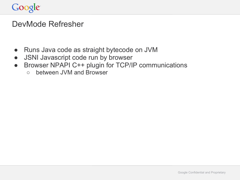### DevMode Refresher

- Runs Java code as straight bytecode on JVM
- JSNI Javascript code run by browser
- Browser NPAPI C++ plugin for TCP/IP communications
	- between JVM and Browser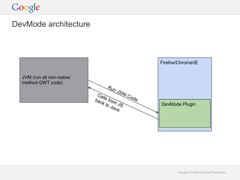### DevMode architecture

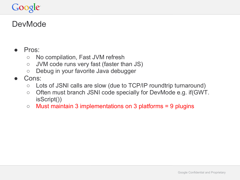### **DevMode**

#### Pros:

- No compilation, Fast JVM refresh
- JVM code runs very fast (faster than JS)
- Debug in your favorite Java debugger
- Cons:
	- Lots of JSNI calls are slow (due to TCP/IP roundtrip turnaround)
	- Often must branch JSNI code specially for DevMode e.g. if(GWT. isScript())
	- $\circ$  Must maintain 3 implementations on 3 platforms = 9 plugins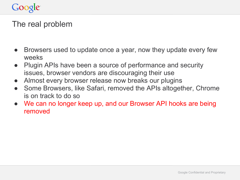### The real problem

- Browsers used to update once a year, now they update every few weeks
- Plugin APIs have been a source of performance and security issues, browser vendors are discouraging their use
- Almost every browser release now breaks our plugins
- Some Browsers, like Safari, removed the APIs altogether, Chrome is on track to do so
- We can no longer keep up, and our Browser API hooks are being removed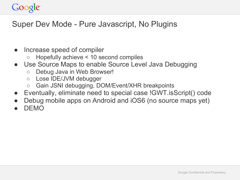### Super Dev Mode - Pure Javascript, No Plugins

- Increase speed of compiler
	- Hopefully achieve < 10 second compiles
- Use Source Maps to enable Source Level Java Debugging
	- Debug Java in Web Browser!
	- Lose IDE/JVM debugger
	- Gain JSNI debugging, DOM/Event/XHR breakpoints
- Eventually, eliminate need to special case !GWT.isScript() code
- Debug mobile apps on Android and iOS6 (no source maps yet)
- DEMO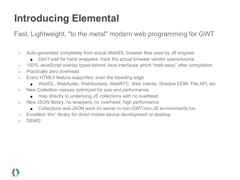# **Introducing Elemental**

Fast, Lightweight, "to the metal" modern web programming for GWT

- Auto-generated completely from actual WebIDL browser files used by JS engines
	- Don't wait for hand wrappers, track the actual browser vendor specs/source
- 100% JavaScript overlay types behind Java interfaces which "melt away" after compilation
- Practically zero overhead
- Every HTML5 feature supported, even the bleeding edge
	- WebGL, WebAudio, WebSockets, WebRTC, Web Intents, Shadow DOM, File API, etc
- New Collection classes optimized for size and performance
	- map directly to underlying JS collections with no overhead
- o New JSON library, no wrappers, no overhead, high performance
	- Collections and JSON work on server in non-GWT/non-JS environments too
- Excellent 'thin' library for direct mobile device development or desktop
- o DEMO